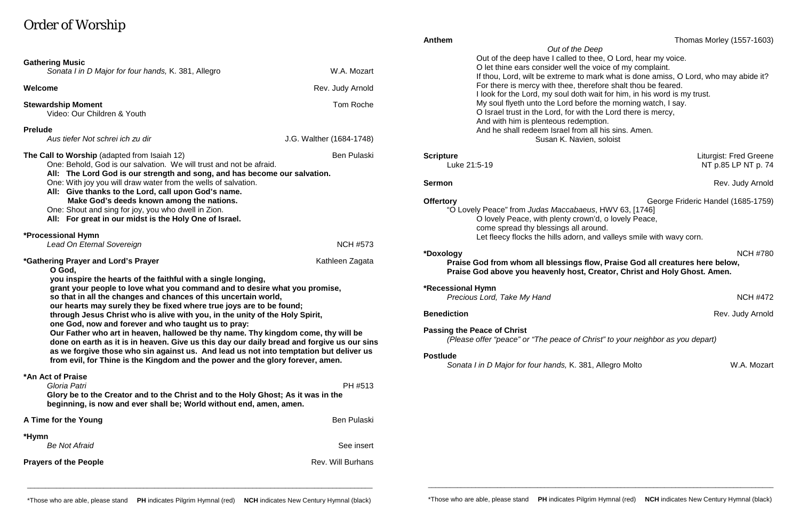# Order of Worship

|                                                                                                                                                                                                                       |                          | Out of the Deep                                                                |                                                                                      |
|-----------------------------------------------------------------------------------------------------------------------------------------------------------------------------------------------------------------------|--------------------------|--------------------------------------------------------------------------------|--------------------------------------------------------------------------------------|
| <b>Gathering Music</b>                                                                                                                                                                                                |                          | Out of the deep have I called to thee, O Lord, hear my voice.                  |                                                                                      |
| Sonata I in D Major for four hands, K. 381, Allegro                                                                                                                                                                   | W.A. Mozart              | O let thine ears consider well the voice of my complaint.                      |                                                                                      |
|                                                                                                                                                                                                                       |                          |                                                                                | If thou, Lord, wilt be extreme to mark what is done amiss, O Lord, who may abide it? |
| Welcome                                                                                                                                                                                                               | Rev. Judy Arnold         | For there is mercy with thee, therefore shalt thou be feared.                  |                                                                                      |
|                                                                                                                                                                                                                       |                          |                                                                                | I look for the Lord, my soul doth wait for him, in his word is my trust.             |
| <b>Stewardship Moment</b>                                                                                                                                                                                             | Tom Roche                | My soul flyeth unto the Lord before the morning watch, I say.                  |                                                                                      |
| Video: Our Children & Youth                                                                                                                                                                                           |                          | O Israel trust in the Lord, for with the Lord there is mercy,                  |                                                                                      |
|                                                                                                                                                                                                                       |                          | And with him is plenteous redemption.                                          |                                                                                      |
| <b>Prelude</b>                                                                                                                                                                                                        |                          | And he shall redeem Israel from all his sins. Amen.                            |                                                                                      |
| Aus tiefer Not schrei ich zu dir                                                                                                                                                                                      | J.G. Walther (1684-1748) | Susan K. Navien, soloist                                                       |                                                                                      |
| The Call to Worship (adapted from Isaiah 12)                                                                                                                                                                          | <b>Ben Pulaski</b>       | <b>Scripture</b>                                                               | <b>Liturgist: Fred Greene</b>                                                        |
| One: Behold, God is our salvation. We will trust and not be afraid.                                                                                                                                                   |                          | Luke 21:5-19                                                                   | NT p.85 LP NT p. 74                                                                  |
| All: The Lord God is our strength and song, and has become our salvation.                                                                                                                                             |                          |                                                                                |                                                                                      |
| One: With joy you will draw water from the wells of salvation.                                                                                                                                                        |                          | <b>Sermon</b>                                                                  | Rev. Judy Arnold                                                                     |
| All: Give thanks to the Lord, call upon God's name.                                                                                                                                                                   |                          |                                                                                |                                                                                      |
| Make God's deeds known among the nations.                                                                                                                                                                             |                          | <b>Offertory</b>                                                               | George Frideric Handel (1685-1759)                                                   |
| One: Shout and sing for joy, you who dwell in Zion.                                                                                                                                                                   |                          | "O Lovely Peace" from Judas Maccabaeus, HWV 63, [1746]                         |                                                                                      |
| All: For great in our midst is the Holy One of Israel.                                                                                                                                                                |                          | O lovely Peace, with plenty crown'd, o lovely Peace,                           |                                                                                      |
|                                                                                                                                                                                                                       |                          | come spread thy blessings all around.                                          |                                                                                      |
| *Processional Hymn                                                                                                                                                                                                    |                          |                                                                                | Let fleecy flocks the hills adorn, and valleys smile with wavy corn.                 |
| Lead On Eternal Sovereign                                                                                                                                                                                             | <b>NCH #573</b>          |                                                                                |                                                                                      |
|                                                                                                                                                                                                                       |                          | *Doxology                                                                      | <b>NCH #780</b>                                                                      |
| <i>*</i> Gathering Prayer and Lord's Prayer<br>Kathleen Zagata                                                                                                                                                        |                          |                                                                                | Praise God from whom all blessings flow, Praise God all creatures here below,        |
| O God,                                                                                                                                                                                                                |                          | Praise God above you heavenly host, Creator, Christ and Holy Ghost. Amen.      |                                                                                      |
| you inspire the hearts of the faithful with a single longing,                                                                                                                                                         |                          |                                                                                |                                                                                      |
| grant your people to love what you command and to desire what you promise,<br>so that in all the changes and chances of this uncertain world,<br>our hearts may surely they be fixed where true joys are to be found; |                          | <b>*Recessional Hymn</b>                                                       |                                                                                      |
|                                                                                                                                                                                                                       |                          | Precious Lord, Take My Hand                                                    | <b>NCH #472</b>                                                                      |
|                                                                                                                                                                                                                       |                          |                                                                                |                                                                                      |
| through Jesus Christ who is alive with you, in the unity of the Holy Spirit,                                                                                                                                          |                          | <b>Benediction</b>                                                             | Rev. Judy Arnold                                                                     |
| one God, now and forever and who taught us to pray:                                                                                                                                                                   |                          | <b>Passing the Peace of Christ</b>                                             |                                                                                      |
| Our Father who art in heaven, hallowed be thy name. Thy kingdom come, thy will be                                                                                                                                     |                          | (Please offer "peace" or "The peace of Christ" to your neighbor as you depart) |                                                                                      |
| done on earth as it is in heaven. Give us this day our daily bread and forgive us our sins                                                                                                                            |                          |                                                                                |                                                                                      |
| as we forgive those who sin against us. And lead us not into temptation but deliver us<br>from evil, for Thine is the Kingdom and the power and the glory forever, amen.                                              |                          | <b>Postlude</b>                                                                |                                                                                      |
|                                                                                                                                                                                                                       |                          | Sonata I in D Major for four hands, K. 381, Allegro Molto                      | W.A. Mozart                                                                          |
| *An Act of Praise                                                                                                                                                                                                     |                          |                                                                                |                                                                                      |
| Gloria Patri                                                                                                                                                                                                          | PH #513                  |                                                                                |                                                                                      |
| Glory be to the Creator and to the Christ and to the Holy Ghost; As it was in the                                                                                                                                     |                          |                                                                                |                                                                                      |
| beginning, is now and ever shall be; World without end, amen, amen.                                                                                                                                                   |                          |                                                                                |                                                                                      |
|                                                                                                                                                                                                                       |                          |                                                                                |                                                                                      |
| A Time for the Young                                                                                                                                                                                                  | <b>Ben Pulaski</b>       |                                                                                |                                                                                      |
| *Hymn                                                                                                                                                                                                                 |                          |                                                                                |                                                                                      |
| <b>Be Not Afraid</b>                                                                                                                                                                                                  | See insert               |                                                                                |                                                                                      |
|                                                                                                                                                                                                                       |                          |                                                                                |                                                                                      |
| <b>Prayers of the People</b>                                                                                                                                                                                          | <b>Rev. Will Burhans</b> |                                                                                |                                                                                      |
|                                                                                                                                                                                                                       |                          |                                                                                |                                                                                      |

\_\_\_\_\_\_\_\_\_\_\_\_\_\_\_\_\_\_\_\_\_\_\_\_\_\_\_\_\_\_\_\_\_\_\_\_\_\_\_\_\_\_\_\_\_\_\_\_\_\_\_\_\_\_\_\_\_\_\_\_\_\_\_\_\_\_\_\_\_\_\_\_\_\_\_\_\_\_\_\_\_\_\_\_\_\_\_\_\_\_\_\_\_\_\_

If the Lord there is mercy,

Anthem Thomas Morley (1557-1603)

- us, HWV 63, [1746]
- o lovely Peace,
- ound.

# **Praise God all creatures here below, Creator, Christ and Holy Ghost. Amen.**

\_\_\_\_\_\_\_\_\_\_\_\_\_\_\_\_\_\_\_\_\_\_\_\_\_\_\_\_\_\_\_\_\_\_\_\_\_\_\_\_\_\_\_\_\_\_\_\_\_\_\_\_\_\_\_\_\_\_\_\_\_\_\_\_\_\_\_\_\_\_\_\_\_\_\_\_\_\_\_\_\_\_\_\_\_\_\_\_\_\_\_\_\_\_\_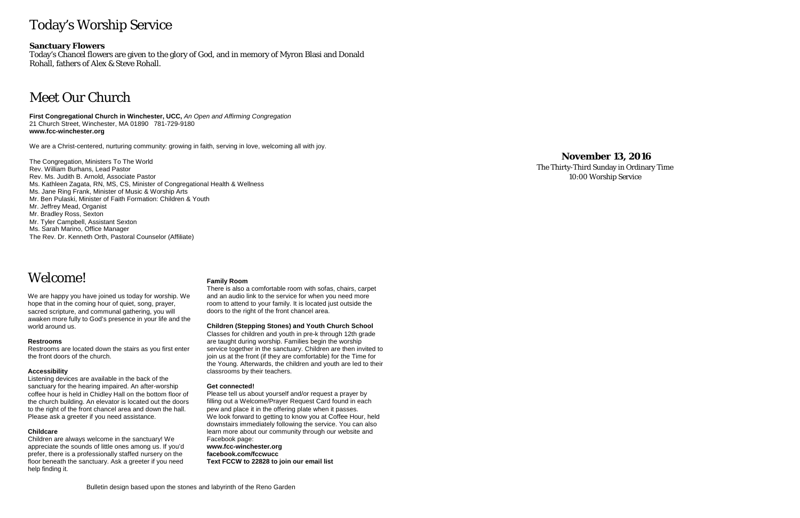# Today's Worship Service

# **Sanctuary Flowers**

Today's Chancel flowers are given to the glory of God, and in memory of Myron Blasi and Donald Rohall, fathers of Alex & Steve Rohall.

# Meet Our Church

**First Congregational Church in Winchester, UCC,** *An Open and Affirming Congregation* 21 Church Street, Winchester, MA 01890 781-729-9180 **www.fcc-winchester.org**

We are a Christ-centered, nurturing community: growing in faith, serving in love, welcoming all with joy.

The Congregation, Ministers To The World Rev. William Burhans, Lead Pastor Rev. Ms. Judith B. Arnold, Associate Pastor Ms. Kathleen Zagata, RN, MS, CS, Minister of Congregational Health & Wellness Ms. Jane Ring Frank, Minister of Music & Worship Arts Mr. Ben Pulaski, Minister of Faith Formation: Children & Youth Mr. Jeffrey Mead, Organist Mr. Bradley Ross, Sexton Mr. Tyler Campbell, Assistant Sexton Ms. Sarah Marino, Office Manager The Rev. Dr. Kenneth Orth, Pastoral Counselor (Affiliate)

Welcome!

We are happy you have joined us today for worship. We hope that in the coming hour of quiet, song, prayer, sacred scripture, and communal gathering, you will awaken more fully to God's presence in your life and the world around us.

### **Restrooms**

Restrooms are located down the stairs as you first enter the front doors of the church.

### **Accessibility**

Listening devices are available in the back of the sanctuary for the hearing impaired. An after-worship coffee hour is held in Chidley Hall on the bottom floor of the church building. An elevator is located out the doors to the right of the front chancel area and down the hall. Please ask a greeter if you need assistance.

### **Childcare**

Children are always welcome in the sanctuary! We appreciate the sounds of little ones among us. If you'd prefer, there is a professionally staffed nursery on the floor beneath the sanctuary. Ask a greeter if you need help finding it.

### **Family Room**

There is also a comfortable room with sofas, chairs, carpet and an audio link to the service for when you need more room to attend to your family. It is located just outside the doors to the right of the front chancel area.

**Children (Stepping Stones) and Youth Church School**

Classes for children and youth in pre-k through 12th grade are taught during worship. Families begin the worship service together in the sanctuary. Children are then invited to join us at the front (if they are comfortable) for the Time for the Young. Afterwards, the children and youth are led to their classrooms by their teachers.

### **Get connected!**

Please tell us about yourself and/or request a prayer by filling out a Welcome/Prayer Request Card found in each pew and place it in the offering plate when it passes. We look forward to getting to know you at Coffee Hour, held downstairs immediately following the service. You can also learn more about our community through our website and Facebook page: **www.fcc-winchester.org**

**facebook.com/fccwucc Text FCCW to 22828 to join our email list**

# **November 13, 2016**

The Thirty-Third Sunday in Ordinary Time 10:00 Worship Service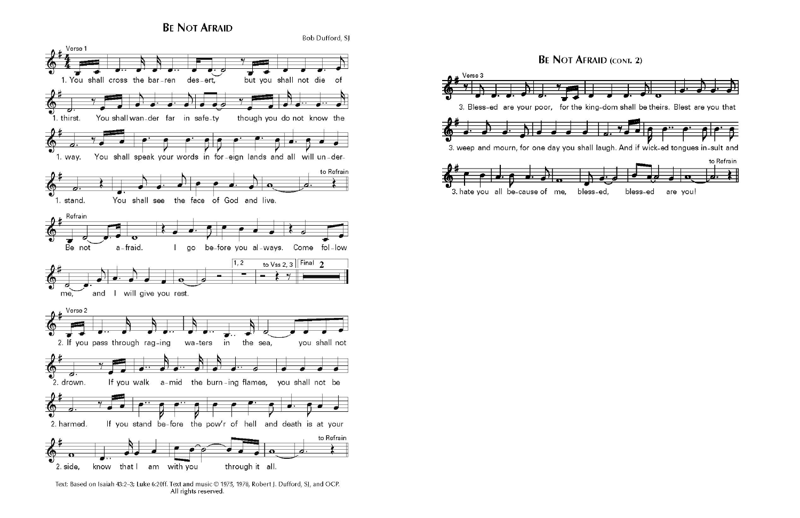**BE NOT AFRAID** 



Text: Based on Isaiah 43:2-3; Luke 6:20ff. Text and music @ 1975, 1978, Robert J. Dufford, SJ, and OCP. All rights reserved.

# **BE NOT AFRAID (CONT. 2)**